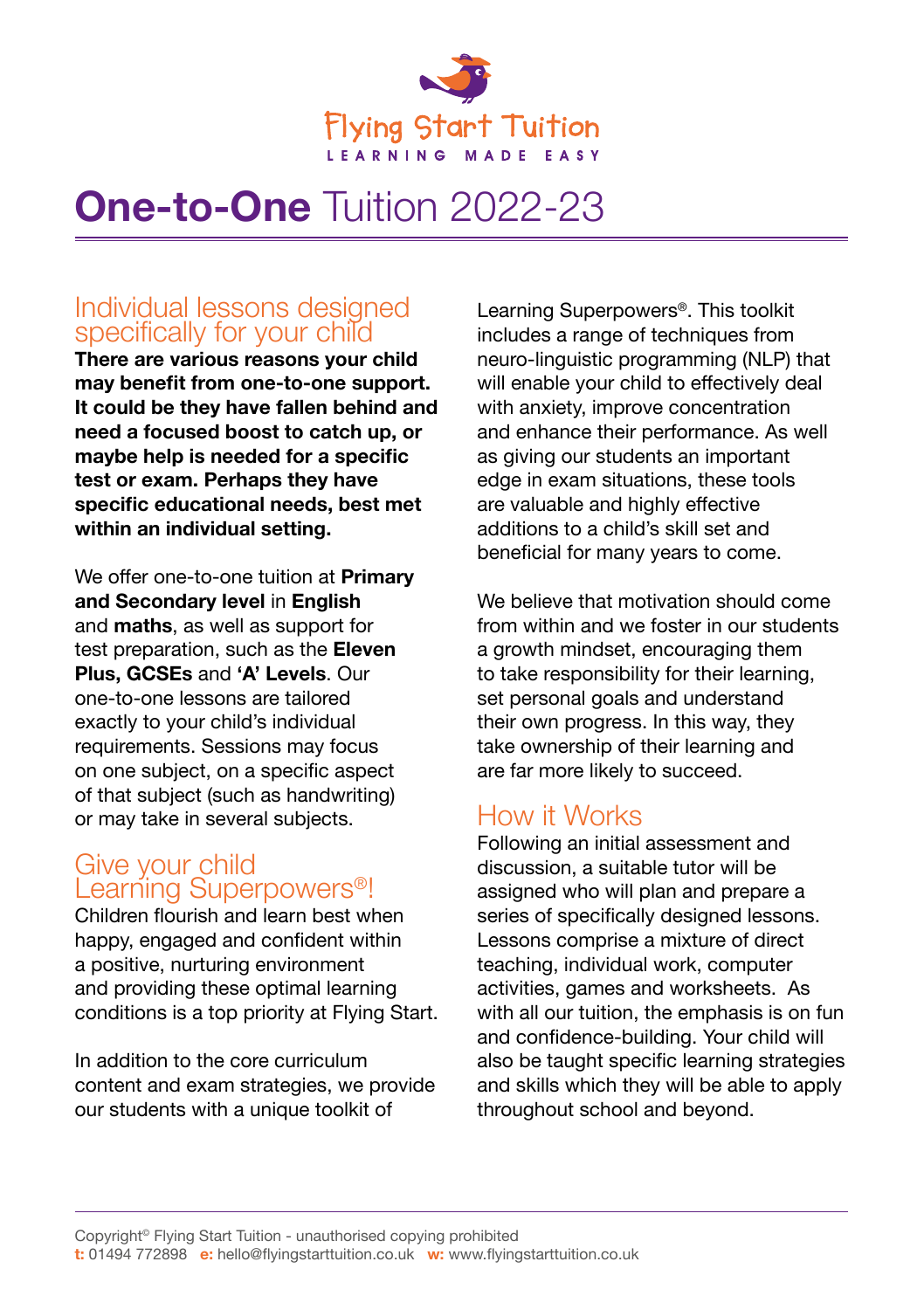

# **One-to-One** Tuition 2022-23

### Individual lessons designed specifically for your child

**There are various reasons your child may benefit from one-to-one support. It could be they have fallen behind and need a focused boost to catch up, or maybe help is needed for a specific test or exam. Perhaps they have specific educational needs, best met within an individual setting.** 

We offer one-to-one tuition at **Primary and Secondary level** in **English**  and **maths**, as well as support for test preparation, such as the **Eleven Plus, GCSEs** and **'A' Levels**. Our one-to-one lessons are tailored exactly to your child's individual requirements. Sessions may focus on one subject, on a specific aspect of that subject (such as handwriting) or may take in several subjects.

### Give your child Learning Superpowers<sup>®!</sup>

Children flourish and learn best when happy, engaged and confident within a positive, nurturing environment and providing these optimal learning conditions is a top priority at Flying Start.

In addition to the core curriculum content and exam strategies, we provide our students with a unique toolkit of

Learning Superpowers®. This toolkit includes a range of techniques from neuro-linguistic programming (NLP) that will enable your child to effectively deal with anxiety, improve concentration and enhance their performance. As well as giving our students an important edge in exam situations, these tools are valuable and highly effective additions to a child's skill set and beneficial for many years to come.

We believe that motivation should come from within and we foster in our students a growth mindset, encouraging them to take responsibility for their learning, set personal goals and understand their own progress. In this way, they take ownership of their learning and are far more likely to succeed.

# How it Works

Following an initial assessment and discussion, a suitable tutor will be assigned who will plan and prepare a series of specifically designed lessons. Lessons comprise a mixture of direct teaching, individual work, computer activities, games and worksheets. As with all our tuition, the emphasis is on fun and confidence-building. Your child will also be taught specific learning strategies and skills which they will be able to apply throughout school and beyond.